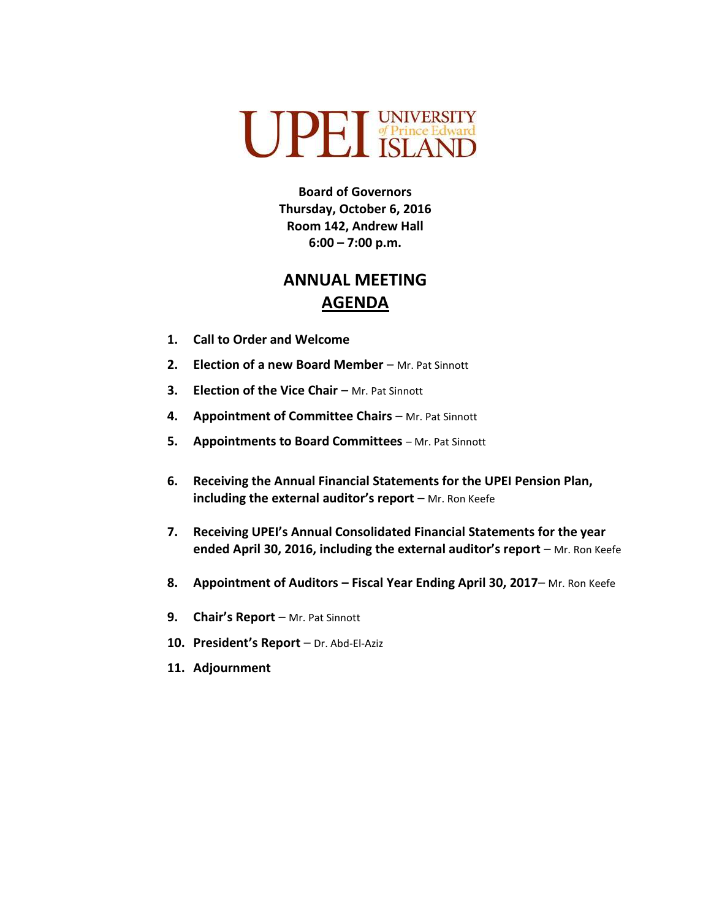

**Board of Governors Thursday, October 6, 2016 Room 142, Andrew Hall 6:00 – 7:00 p.m.**

## **ANNUAL MEETING AGENDA**

- **1. Call to Order and Welcome**
- **2. Election of a new Board Member** Mr. Pat Sinnott
- **3. Election of the Vice Chair Mr. Pat Sinnott**
- **4. Appointment of Committee Chairs** Mr. Pat Sinnott
- **5. Appointments to Board Committees** Mr. Pat Sinnott
- **6. Receiving the Annual Financial Statements for the UPEI Pension Plan, including the external auditor's report** – Mr. Ron Keefe
- **7. Receiving UPEI's Annual Consolidated Financial Statements for the year ended April 30, 2016, including the external auditor's report** – Mr. Ron Keefe
- **8. Appointment of Auditors – Fiscal Year Ending April 30, 2017** Mr. Ron Keefe
- **9. Chair's Report** Mr. Pat Sinnott
- **10. President's Report**  Dr. Abd-El-Aziz
- **11. Adjournment**